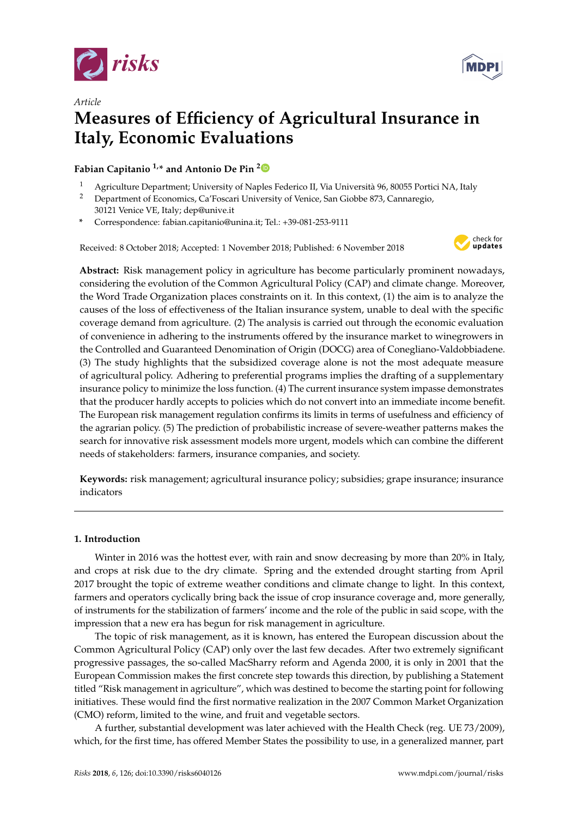

*Article*



# **Measures of Efficiency of Agricultural Insurance in Italy, Economic Evaluations**

# **Fabian Capitanio 1,\* and Antonio De Pin [2](https://orcid.org/0000-0002-4625-2487)**

- <sup>1</sup> Agriculture Department; University of Naples Federico II, Via Università 96, 80055 Portici NA, Italy<br><sup>2</sup> Department of Economics Co'Foscari University of Venice San Ciobbe 873, Cannarogio
- <sup>2</sup> Department of Economics, Ca'Foscari University of Venice, San Giobbe 873, Cannaregio, 30121 Venice VE, Italy; dep@unive.it
- **\*** Correspondence: fabian.capitanio@unina.it; Tel.: +39-081-253-9111

Received: 8 October 2018; Accepted: 1 November 2018; Published: 6 November 2018



**Abstract:** Risk management policy in agriculture has become particularly prominent nowadays, considering the evolution of the Common Agricultural Policy (CAP) and climate change. Moreover, the Word Trade Organization places constraints on it. In this context, (1) the aim is to analyze the causes of the loss of effectiveness of the Italian insurance system, unable to deal with the specific coverage demand from agriculture. (2) The analysis is carried out through the economic evaluation of convenience in adhering to the instruments offered by the insurance market to winegrowers in the Controlled and Guaranteed Denomination of Origin (DOCG) area of Conegliano-Valdobbiadene. (3) The study highlights that the subsidized coverage alone is not the most adequate measure of agricultural policy. Adhering to preferential programs implies the drafting of a supplementary insurance policy to minimize the loss function. (4) The current insurance system impasse demonstrates that the producer hardly accepts to policies which do not convert into an immediate income benefit. The European risk management regulation confirms its limits in terms of usefulness and efficiency of the agrarian policy. (5) The prediction of probabilistic increase of severe-weather patterns makes the search for innovative risk assessment models more urgent, models which can combine the different needs of stakeholders: farmers, insurance companies, and society.

**Keywords:** risk management; agricultural insurance policy; subsidies; grape insurance; insurance indicators

# **1. Introduction**

Winter in 2016 was the hottest ever, with rain and snow decreasing by more than 20% in Italy, and crops at risk due to the dry climate. Spring and the extended drought starting from April 2017 brought the topic of extreme weather conditions and climate change to light. In this context, farmers and operators cyclically bring back the issue of crop insurance coverage and, more generally, of instruments for the stabilization of farmers' income and the role of the public in said scope, with the impression that a new era has begun for risk management in agriculture.

The topic of risk management, as it is known, has entered the European discussion about the Common Agricultural Policy (CAP) only over the last few decades. After two extremely significant progressive passages, the so-called MacSharry reform and Agenda 2000, it is only in 2001 that the European Commission makes the first concrete step towards this direction, by publishing a Statement titled "Risk management in agriculture", which was destined to become the starting point for following initiatives. These would find the first normative realization in the 2007 Common Market Organization (CMO) reform, limited to the wine, and fruit and vegetable sectors.

A further, substantial development was later achieved with the Health Check (reg. UE 73/2009), which, for the first time, has offered Member States the possibility to use, in a generalized manner, part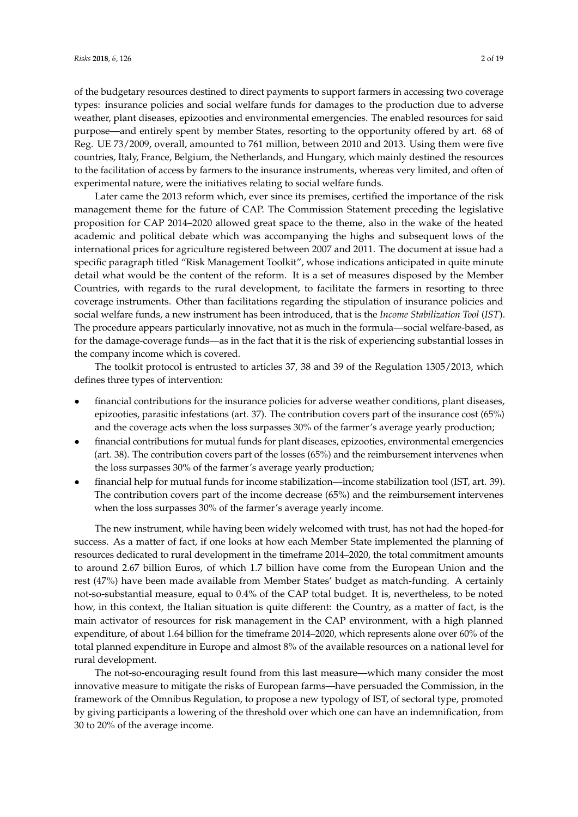of the budgetary resources destined to direct payments to support farmers in accessing two coverage types: insurance policies and social welfare funds for damages to the production due to adverse weather, plant diseases, epizooties and environmental emergencies. The enabled resources for said purpose—and entirely spent by member States, resorting to the opportunity offered by art. 68 of Reg. UE 73/2009, overall, amounted to 761 million, between 2010 and 2013. Using them were five countries, Italy, France, Belgium, the Netherlands, and Hungary, which mainly destined the resources to the facilitation of access by farmers to the insurance instruments, whereas very limited, and often of experimental nature, were the initiatives relating to social welfare funds.

Later came the 2013 reform which, ever since its premises, certified the importance of the risk management theme for the future of CAP. The Commission Statement preceding the legislative proposition for CAP 2014–2020 allowed great space to the theme, also in the wake of the heated academic and political debate which was accompanying the highs and subsequent lows of the international prices for agriculture registered between 2007 and 2011. The document at issue had a specific paragraph titled "Risk Management Toolkit", whose indications anticipated in quite minute detail what would be the content of the reform. It is a set of measures disposed by the Member Countries, with regards to the rural development, to facilitate the farmers in resorting to three coverage instruments. Other than facilitations regarding the stipulation of insurance policies and social welfare funds, a new instrument has been introduced, that is the *Income Stabilization Tool* (*IST*). The procedure appears particularly innovative, not as much in the formula—social welfare-based, as for the damage-coverage funds—as in the fact that it is the risk of experiencing substantial losses in the company income which is covered.

The toolkit protocol is entrusted to articles 37, 38 and 39 of the Regulation 1305/2013, which defines three types of intervention:

- financial contributions for the insurance policies for adverse weather conditions, plant diseases, epizooties, parasitic infestations (art. 37). The contribution covers part of the insurance cost (65%) and the coverage acts when the loss surpasses 30% of the farmer's average yearly production;
- financial contributions for mutual funds for plant diseases, epizooties, environmental emergencies (art. 38). The contribution covers part of the losses (65%) and the reimbursement intervenes when the loss surpasses 30% of the farmer's average yearly production;
- financial help for mutual funds for income stabilization—income stabilization tool (IST, art. 39). The contribution covers part of the income decrease (65%) and the reimbursement intervenes when the loss surpasses 30% of the farmer's average yearly income.

The new instrument, while having been widely welcomed with trust, has not had the hoped-for success. As a matter of fact, if one looks at how each Member State implemented the planning of resources dedicated to rural development in the timeframe 2014–2020, the total commitment amounts to around 2.67 billion Euros, of which 1.7 billion have come from the European Union and the rest (47%) have been made available from Member States' budget as match-funding. A certainly not-so-substantial measure, equal to 0.4% of the CAP total budget. It is, nevertheless, to be noted how, in this context, the Italian situation is quite different: the Country, as a matter of fact, is the main activator of resources for risk management in the CAP environment, with a high planned expenditure, of about 1.64 billion for the timeframe 2014–2020, which represents alone over 60% of the total planned expenditure in Europe and almost 8% of the available resources on a national level for rural development.

The not-so-encouraging result found from this last measure—which many consider the most innovative measure to mitigate the risks of European farms—have persuaded the Commission, in the framework of the Omnibus Regulation, to propose a new typology of IST, of sectoral type, promoted by giving participants a lowering of the threshold over which one can have an indemnification, from 30 to 20% of the average income.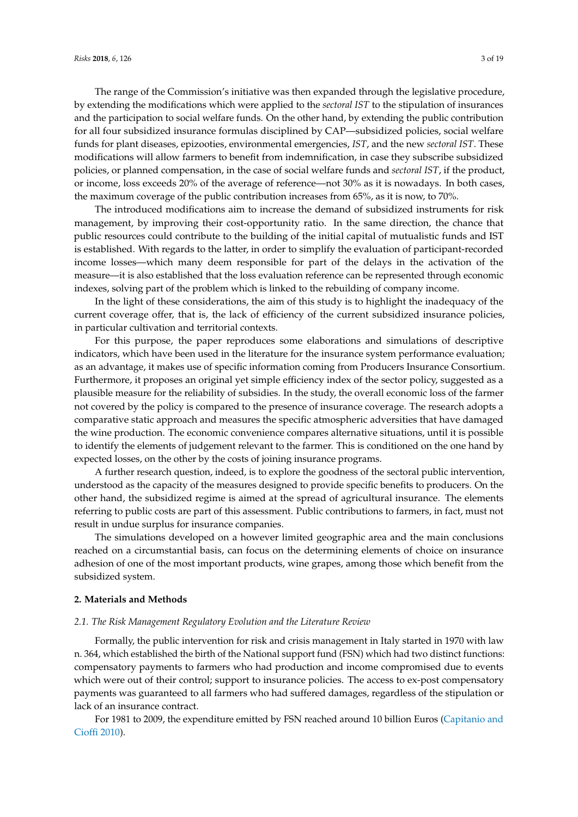The range of the Commission's initiative was then expanded through the legislative procedure, by extending the modifications which were applied to the *sectoral IST* to the stipulation of insurances and the participation to social welfare funds. On the other hand, by extending the public contribution for all four subsidized insurance formulas disciplined by CAP—subsidized policies, social welfare funds for plant diseases, epizooties, environmental emergencies, *IST*, and the new *sectoral IST*. These modifications will allow farmers to benefit from indemnification, in case they subscribe subsidized policies, or planned compensation, in the case of social welfare funds and *sectoral IST*, if the product, or income, loss exceeds 20% of the average of reference—not 30% as it is nowadays. In both cases, the maximum coverage of the public contribution increases from 65%, as it is now, to 70%.

The introduced modifications aim to increase the demand of subsidized instruments for risk management, by improving their cost-opportunity ratio. In the same direction, the chance that public resources could contribute to the building of the initial capital of mutualistic funds and IST is established. With regards to the latter, in order to simplify the evaluation of participant-recorded income losses—which many deem responsible for part of the delays in the activation of the measure—it is also established that the loss evaluation reference can be represented through economic indexes, solving part of the problem which is linked to the rebuilding of company income.

In the light of these considerations, the aim of this study is to highlight the inadequacy of the current coverage offer, that is, the lack of efficiency of the current subsidized insurance policies, in particular cultivation and territorial contexts.

For this purpose, the paper reproduces some elaborations and simulations of descriptive indicators, which have been used in the literature for the insurance system performance evaluation; as an advantage, it makes use of specific information coming from Producers Insurance Consortium. Furthermore, it proposes an original yet simple efficiency index of the sector policy, suggested as a plausible measure for the reliability of subsidies. In the study, the overall economic loss of the farmer not covered by the policy is compared to the presence of insurance coverage. The research adopts a comparative static approach and measures the specific atmospheric adversities that have damaged the wine production. The economic convenience compares alternative situations, until it is possible to identify the elements of judgement relevant to the farmer. This is conditioned on the one hand by expected losses, on the other by the costs of joining insurance programs.

A further research question, indeed, is to explore the goodness of the sectoral public intervention, understood as the capacity of the measures designed to provide specific benefits to producers. On the other hand, the subsidized regime is aimed at the spread of agricultural insurance. The elements referring to public costs are part of this assessment. Public contributions to farmers, in fact, must not result in undue surplus for insurance companies.

The simulations developed on a however limited geographic area and the main conclusions reached on a circumstantial basis, can focus on the determining elements of choice on insurance adhesion of one of the most important products, wine grapes, among those which benefit from the subsidized system.

#### **2. Materials and Methods**

#### <span id="page-2-0"></span>*2.1. The Risk Management Regulatory Evolution and the Literature Review*

Formally, the public intervention for risk and crisis management in Italy started in 1970 with law n. 364, which established the birth of the National support fund (FSN) which had two distinct functions: compensatory payments to farmers who had production and income compromised due to events which were out of their control; support to insurance policies. The access to ex-post compensatory payments was guaranteed to all farmers who had suffered damages, regardless of the stipulation or lack of an insurance contract.

For 1981 to 2009, the expenditure emitted by FSN reached around 10 billion Euros [\(Capitanio and](#page-17-0) [Cioffi](#page-17-0) [2010\)](#page-17-0).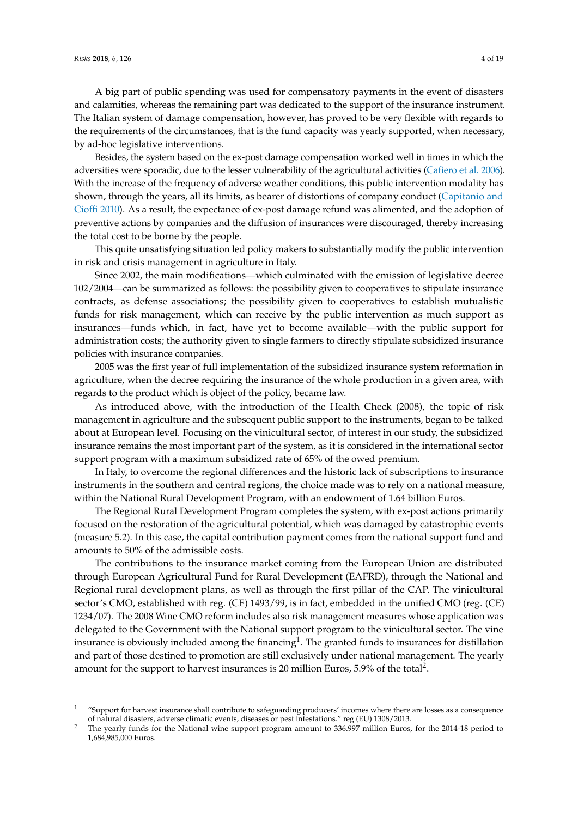A big part of public spending was used for compensatory payments in the event of disasters and calamities, whereas the remaining part was dedicated to the support of the insurance instrument. The Italian system of damage compensation, however, has proved to be very flexible with regards to the requirements of the circumstances, that is the fund capacity was yearly supported, when necessary, by ad-hoc legislative interventions.

Besides, the system based on the ex-post damage compensation worked well in times in which the adversities were sporadic, due to the lesser vulnerability of the agricultural activities [\(Cafiero et al.](#page-17-1) [2006\)](#page-17-1). With the increase of the frequency of adverse weather conditions, this public intervention modality has shown, through the years, all its limits, as bearer of distortions of company conduct [\(Capitanio and](#page-17-0) [Cioffi](#page-17-0) [2010\)](#page-17-0). As a result, the expectance of ex-post damage refund was alimented, and the adoption of preventive actions by companies and the diffusion of insurances were discouraged, thereby increasing the total cost to be borne by the people.

This quite unsatisfying situation led policy makers to substantially modify the public intervention in risk and crisis management in agriculture in Italy.

Since 2002, the main modifications—which culminated with the emission of legislative decree 102/2004—can be summarized as follows: the possibility given to cooperatives to stipulate insurance contracts, as defense associations; the possibility given to cooperatives to establish mutualistic funds for risk management, which can receive by the public intervention as much support as insurances—funds which, in fact, have yet to become available—with the public support for administration costs; the authority given to single farmers to directly stipulate subsidized insurance policies with insurance companies.

2005 was the first year of full implementation of the subsidized insurance system reformation in agriculture, when the decree requiring the insurance of the whole production in a given area, with regards to the product which is object of the policy, became law.

As introduced above, with the introduction of the Health Check (2008), the topic of risk management in agriculture and the subsequent public support to the instruments, began to be talked about at European level. Focusing on the vinicultural sector, of interest in our study, the subsidized insurance remains the most important part of the system, as it is considered in the international sector support program with a maximum subsidized rate of 65% of the owed premium.

In Italy, to overcome the regional differences and the historic lack of subscriptions to insurance instruments in the southern and central regions, the choice made was to rely on a national measure, within the National Rural Development Program, with an endowment of 1.64 billion Euros.

The Regional Rural Development Program completes the system, with ex-post actions primarily focused on the restoration of the agricultural potential, which was damaged by catastrophic events (measure 5.2). In this case, the capital contribution payment comes from the national support fund and amounts to 50% of the admissible costs.

The contributions to the insurance market coming from the European Union are distributed through European Agricultural Fund for Rural Development (EAFRD), through the National and Regional rural development plans, as well as through the first pillar of the CAP. The vinicultural sector's CMO, established with reg. (CE) 1493/99, is in fact, embedded in the unified CMO (reg. (CE) 1234/07). The 2008 Wine CMO reform includes also risk management measures whose application was delegated to the Government with the National support program to the vinicultural sector. The vine insurance is obviously included among the financing<sup>1</sup>. The granted funds to insurances for distillation and part of those destined to promotion are still exclusively under national management. The yearly amount for the support to harvest insurances is 20 million Euros, 5.9% of the total<sup>2</sup>.

<sup>1</sup> "Support for harvest insurance shall contribute to safeguarding producers' incomes where there are losses as a consequence of natural disasters, adverse climatic events, diseases or pest infestations." reg (EU) 1308/2013.

<sup>2</sup> The yearly funds for the National wine support program amount to 336.997 million Euros, for the 2014-18 period to 1,684,985,000 Euros.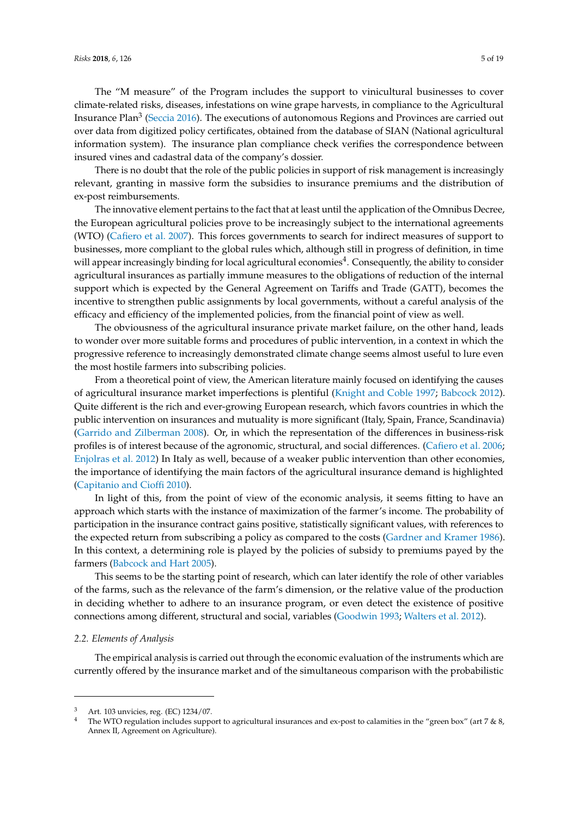The "M measure" of the Program includes the support to vinicultural businesses to cover climate-related risks, diseases, infestations on wine grape harvests, in compliance to the Agricultural Insurance Plan<sup>3</sup> [\(Seccia](#page-18-0) [2016\)](#page-18-0). The executions of autonomous Regions and Provinces are carried out over data from digitized policy certificates, obtained from the database of SIAN (National agricultural information system). The insurance plan compliance check verifies the correspondence between insured vines and cadastral data of the company's dossier.

There is no doubt that the role of the public policies in support of risk management is increasingly relevant, granting in massive form the subsidies to insurance premiums and the distribution of ex-post reimbursements.

The innovative element pertains to the fact that at least until the application of the Omnibus Decree, the European agricultural policies prove to be increasingly subject to the international agreements (WTO) [\(Cafiero et al.](#page-17-2) [2007\)](#page-17-2). This forces governments to search for indirect measures of support to businesses, more compliant to the global rules which, although still in progress of definition, in time will appear increasingly binding for local agricultural economies $^4$ . Consequently, the ability to consider agricultural insurances as partially immune measures to the obligations of reduction of the internal support which is expected by the General Agreement on Tariffs and Trade (GATT), becomes the incentive to strengthen public assignments by local governments, without a careful analysis of the efficacy and efficiency of the implemented policies, from the financial point of view as well.

The obviousness of the agricultural insurance private market failure, on the other hand, leads to wonder over more suitable forms and procedures of public intervention, in a context in which the progressive reference to increasingly demonstrated climate change seems almost useful to lure even the most hostile farmers into subscribing policies.

From a theoretical point of view, the American literature mainly focused on identifying the causes of agricultural insurance market imperfections is plentiful [\(Knight and Coble](#page-17-3) [1997;](#page-17-3) [Babcock](#page-17-4) [2012\)](#page-17-4). Quite different is the rich and ever-growing European research, which favors countries in which the public intervention on insurances and mutuality is more significant (Italy, Spain, France, Scandinavia) [\(Garrido and Zilberman](#page-17-5) [2008\)](#page-17-5). Or, in which the representation of the differences in business-risk profiles is of interest because of the agronomic, structural, and social differences. [\(Cafiero et al.](#page-17-1) [2006;](#page-17-1) [Enjolras et al.](#page-17-6) [2012\)](#page-17-6) In Italy as well, because of a weaker public intervention than other economies, the importance of identifying the main factors of the agricultural insurance demand is highlighted [\(Capitanio and Cioffi](#page-17-0) [2010\)](#page-17-0).

In light of this, from the point of view of the economic analysis, it seems fitting to have an approach which starts with the instance of maximization of the farmer's income. The probability of participation in the insurance contract gains positive, statistically significant values, with references to the expected return from subscribing a policy as compared to the costs [\(Gardner and Kramer](#page-17-7) [1986\)](#page-17-7). In this context, a determining role is played by the policies of subsidy to premiums payed by the farmers [\(Babcock and Hart](#page-17-8) [2005\)](#page-17-8).

This seems to be the starting point of research, which can later identify the role of other variables of the farms, such as the relevance of the farm's dimension, or the relative value of the production in deciding whether to adhere to an insurance program, or even detect the existence of positive connections among different, structural and social, variables [\(Goodwin](#page-17-9) [1993;](#page-17-9) [Walters et al.](#page-18-1) [2012\)](#page-18-1).

#### <span id="page-4-0"></span>*2.2. Elements of Analysis*

The empirical analysis is carried out through the economic evaluation of the instruments which are currently offered by the insurance market and of the simultaneous comparison with the probabilistic

<sup>3</sup> Art. 103 unvicies, reg. (EC) 1234/07.

The WTO regulation includes support to agricultural insurances and ex-post to calamities in the "green box" (art 7  $\&$  8, Annex II, Agreement on Agriculture).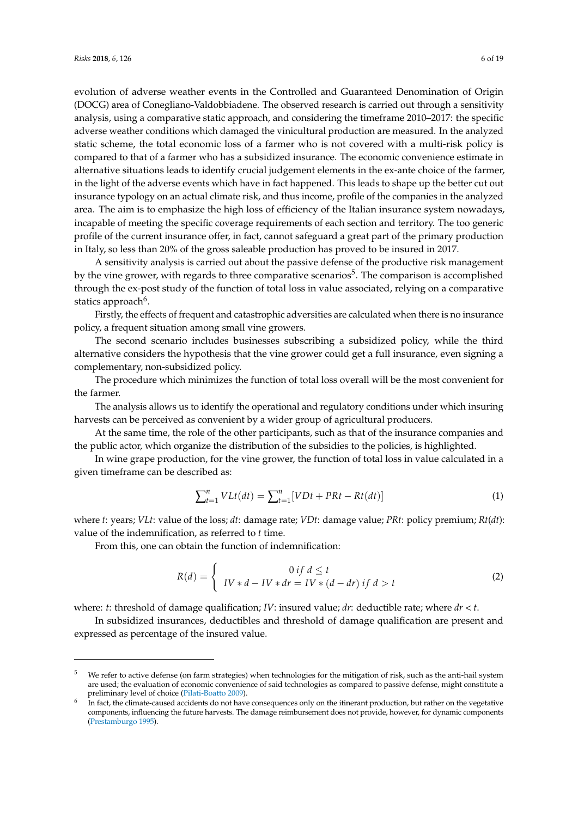evolution of adverse weather events in the Controlled and Guaranteed Denomination of Origin (DOCG) area of Conegliano-Valdobbiadene. The observed research is carried out through a sensitivity analysis, using a comparative static approach, and considering the timeframe 2010–2017: the specific adverse weather conditions which damaged the vinicultural production are measured. In the analyzed static scheme, the total economic loss of a farmer who is not covered with a multi-risk policy is compared to that of a farmer who has a subsidized insurance. The economic convenience estimate in alternative situations leads to identify crucial judgement elements in the ex-ante choice of the farmer, in the light of the adverse events which have in fact happened. This leads to shape up the better cut out insurance typology on an actual climate risk, and thus income, profile of the companies in the analyzed area. The aim is to emphasize the high loss of efficiency of the Italian insurance system nowadays, incapable of meeting the specific coverage requirements of each section and territory. The too generic profile of the current insurance offer, in fact, cannot safeguard a great part of the primary production in Italy, so less than 20% of the gross saleable production has proved to be insured in 2017.

A sensitivity analysis is carried out about the passive defense of the productive risk management by the vine grower, with regards to three comparative scenarios $^5$ . The comparison is accomplished through the ex-post study of the function of total loss in value associated, relying on a comparative statics approach<sup>6</sup>.

Firstly, the effects of frequent and catastrophic adversities are calculated when there is no insurance policy, a frequent situation among small vine growers.

The second scenario includes businesses subscribing a subsidized policy, while the third alternative considers the hypothesis that the vine grower could get a full insurance, even signing a complementary, non-subsidized policy.

The procedure which minimizes the function of total loss overall will be the most convenient for the farmer.

The analysis allows us to identify the operational and regulatory conditions under which insuring harvests can be perceived as convenient by a wider group of agricultural producers.

At the same time, the role of the other participants, such as that of the insurance companies and the public actor, which organize the distribution of the subsidies to the policies, is highlighted.

In wine grape production, for the vine grower, the function of total loss in value calculated in a given timeframe can be described as:

$$
\sum_{t=1}^{n} VLt(dt) = \sum_{t=1}^{n} [VDt + PRt - Rt(dt)] \tag{1}
$$

where *t*: years; *VLt*: value of the loss; *dt*: damage rate; *VDt*: damage value; *PRt*: policy premium; *Rt*(*dt*): value of the indemnification, as referred to *t* time.

From this, one can obtain the function of indemnification:

$$
R(d) = \begin{cases} 0 & \text{if } d \le t \\ IV * d - IV * dr = IV * (d - dr) & \text{if } d > t \end{cases}
$$
 (2)

where: *t*: threshold of damage qualification; *IV*: insured value; *dr*: deductible rate; where *dr* < *t*.

In subsidized insurances, deductibles and threshold of damage qualification are present and expressed as percentage of the insured value.

<sup>5</sup> We refer to active defense (on farm strategies) when technologies for the mitigation of risk, such as the anti-hail system are used; the evaluation of economic convenience of said technologies as compared to passive defense, might constitute a preliminary level of choice [\(Pilati-Boatto](#page-18-2) [2009\)](#page-18-2).

<sup>6</sup> In fact, the climate-caused accidents do not have consequences only on the itinerant production, but rather on the vegetative components, influencing the future harvests. The damage reimbursement does not provide, however, for dynamic components [\(Prestamburgo](#page-18-3) [1995\)](#page-18-3).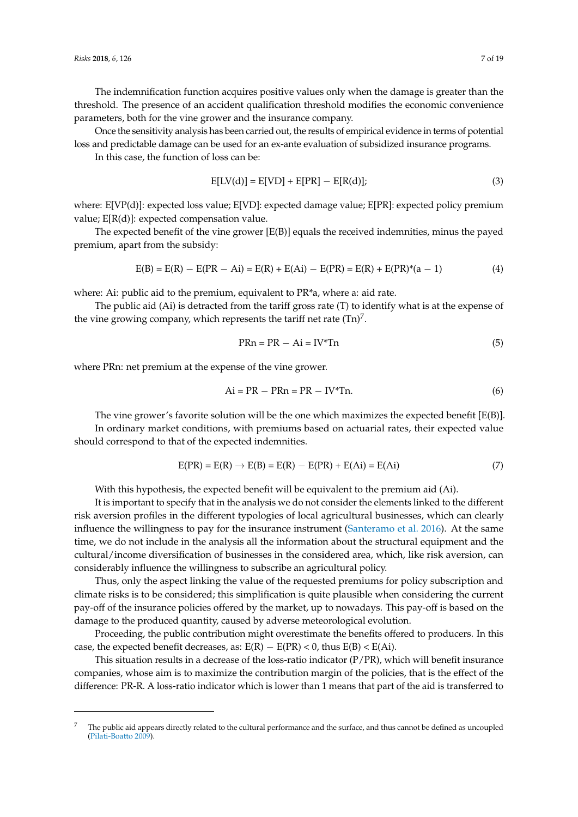The indemnification function acquires positive values only when the damage is greater than the threshold. The presence of an accident qualification threshold modifies the economic convenience parameters, both for the vine grower and the insurance company.

Once the sensitivity analysis has been carried out, the results of empirical evidence in terms of potential loss and predictable damage can be used for an ex-ante evaluation of subsidized insurance programs.

In this case, the function of loss can be:

$$
E[LV(d)] = E[VD] + E[PR] - E[R(d)]; \qquad (3)
$$

where: E[VP(d)]: expected loss value; E[VD]: expected damage value; E[PR]: expected policy premium value; E[R(d)]: expected compensation value.

The expected benefit of the vine grower [E(B)] equals the received indemnities, minus the payed premium, apart from the subsidy:

$$
E(B) = E(R) - E(PR - Ai) = E(R) + E(Ai) - E(PR) = E(R) + E(PR)^{*}(a - 1)
$$
\n(4)

where: Ai: public aid to the premium, equivalent to PR\*a, where a: aid rate.

The public aid (Ai) is detracted from the tariff gross rate (T) to identify what is at the expense of the vine growing company, which represents the tariff net rate  $(Tn)^7$ .

$$
PRn = PR - Ai = IV^*Tn
$$
\n(5)

where PRn: net premium at the expense of the vine grower.

$$
Ai = PR - PRn = PR - IV^*Tn.
$$
\n(6)

The vine grower's favorite solution will be the one which maximizes the expected benefit [E(B)]. In ordinary market conditions, with premiums based on actuarial rates, their expected value should correspond to that of the expected indemnities.

$$
E(\text{PR}) = E(\text{R}) \rightarrow E(\text{B}) = E(\text{R}) - E(\text{PR}) + E(\text{Ai}) = E(\text{Ai})
$$
 (7)

With this hypothesis, the expected benefit will be equivalent to the premium aid (Ai).

It is important to specify that in the analysis we do not consider the elements linked to the different risk aversion profiles in the different typologies of local agricultural businesses, which can clearly influence the willingness to pay for the insurance instrument [\(Santeramo et al.](#page-18-4) [2016\)](#page-18-4). At the same time, we do not include in the analysis all the information about the structural equipment and the cultural/income diversification of businesses in the considered area, which, like risk aversion, can considerably influence the willingness to subscribe an agricultural policy.

Thus, only the aspect linking the value of the requested premiums for policy subscription and climate risks is to be considered; this simplification is quite plausible when considering the current pay-off of the insurance policies offered by the market, up to nowadays. This pay-off is based on the damage to the produced quantity, caused by adverse meteorological evolution.

Proceeding, the public contribution might overestimate the benefits offered to producers. In this case, the expected benefit decreases, as:  $E(R) - E(PR) < 0$ , thus  $E(B) < E(Ai)$ .

This situation results in a decrease of the loss-ratio indicator  $(P/PR)$ , which will benefit insurance companies, whose aim is to maximize the contribution margin of the policies, that is the effect of the difference: PR-R. A loss-ratio indicator which is lower than 1 means that part of the aid is transferred to

<sup>&</sup>lt;sup>7</sup> The public aid appears directly related to the cultural performance and the surface, and thus cannot be defined as uncoupled [\(Pilati-Boatto](#page-18-2) [2009\)](#page-18-2).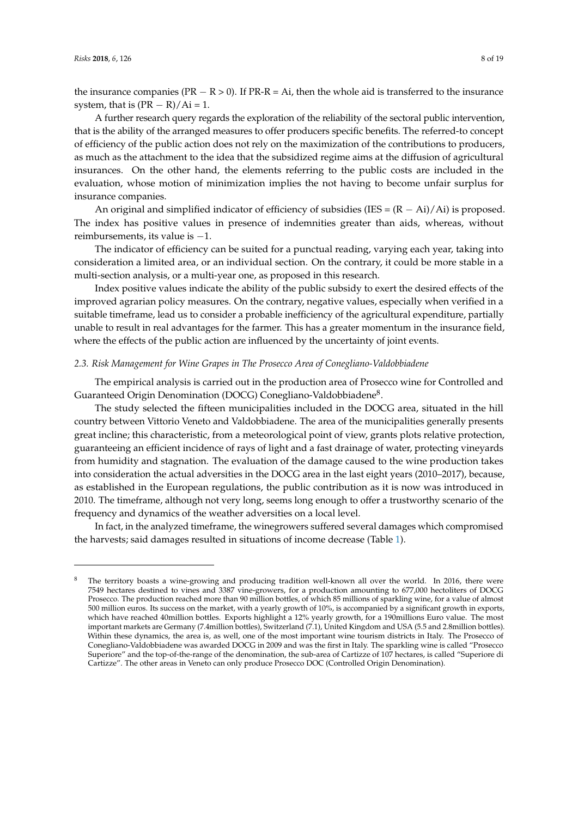the insurance companies ( $PR - R > 0$ ). If  $PR-R = Ai$ , then the whole aid is transferred to the insurance system, that is  $(PR - R)/Ai = 1$ .

A further research query regards the exploration of the reliability of the sectoral public intervention, that is the ability of the arranged measures to offer producers specific benefits. The referred-to concept of efficiency of the public action does not rely on the maximization of the contributions to producers, as much as the attachment to the idea that the subsidized regime aims at the diffusion of agricultural insurances. On the other hand, the elements referring to the public costs are included in the evaluation, whose motion of minimization implies the not having to become unfair surplus for insurance companies.

An original and simplified indicator of efficiency of subsidies (IES =  $(R - Ai)/Ai$ ) is proposed. The index has positive values in presence of indemnities greater than aids, whereas, without reimbursements, its value is  $-1$ .

The indicator of efficiency can be suited for a punctual reading, varying each year, taking into consideration a limited area, or an individual section. On the contrary, it could be more stable in a multi-section analysis, or a multi-year one, as proposed in this research.

Index positive values indicate the ability of the public subsidy to exert the desired effects of the improved agrarian policy measures. On the contrary, negative values, especially when verified in a suitable timeframe, lead us to consider a probable inefficiency of the agricultural expenditure, partially unable to result in real advantages for the farmer. This has a greater momentum in the insurance field, where the effects of the public action are influenced by the uncertainty of joint events.

#### <span id="page-7-0"></span>*2.3. Risk Management for Wine Grapes in The Prosecco Area of Conegliano-Valdobbiadene*

The empirical analysis is carried out in the production area of Prosecco wine for Controlled and Guaranteed Origin Denomination (DOCG) Conegliano-Valdobbiadene<sup>8</sup>.

The study selected the fifteen municipalities included in the DOCG area, situated in the hill country between Vittorio Veneto and Valdobbiadene. The area of the municipalities generally presents great incline; this characteristic, from a meteorological point of view, grants plots relative protection, guaranteeing an efficient incidence of rays of light and a fast drainage of water, protecting vineyards from humidity and stagnation. The evaluation of the damage caused to the wine production takes into consideration the actual adversities in the DOCG area in the last eight years (2010–2017), because, as established in the European regulations, the public contribution as it is now was introduced in 2010. The timeframe, although not very long, seems long enough to offer a trustworthy scenario of the frequency and dynamics of the weather adversities on a local level.

In fact, in the analyzed timeframe, the winegrowers suffered several damages which compromised the harvests; said damages resulted in situations of income decrease (Table [1\)](#page-8-0).

The territory boasts a wine-growing and producing tradition well-known all over the world. In 2016, there were 7549 hectares destined to vines and 3387 vine-growers, for a production amounting to 677,000 hectoliters of DOCG Prosecco. The production reached more than 90 million bottles, of which 85 millions of sparkling wine, for a value of almost 500 million euros. Its success on the market, with a yearly growth of 10%, is accompanied by a significant growth in exports, which have reached 40million bottles. Exports highlight a 12% yearly growth, for a 190millions Euro value. The most important markets are Germany (7.4million bottles), Switzerland (7.1), United Kingdom and USA (5.5 and 2.8million bottles). Within these dynamics, the area is, as well, one of the most important wine tourism districts in Italy. The Prosecco of Conegliano-Valdobbiadene was awarded DOCG in 2009 and was the first in Italy. The sparkling wine is called "Prosecco Superiore" and the top-of-the-range of the denomination, the sub-area of Cartizze of 107 hectares, is called "Superiore di Cartizze". The other areas in Veneto can only produce Prosecco DOC (Controlled Origin Denomination).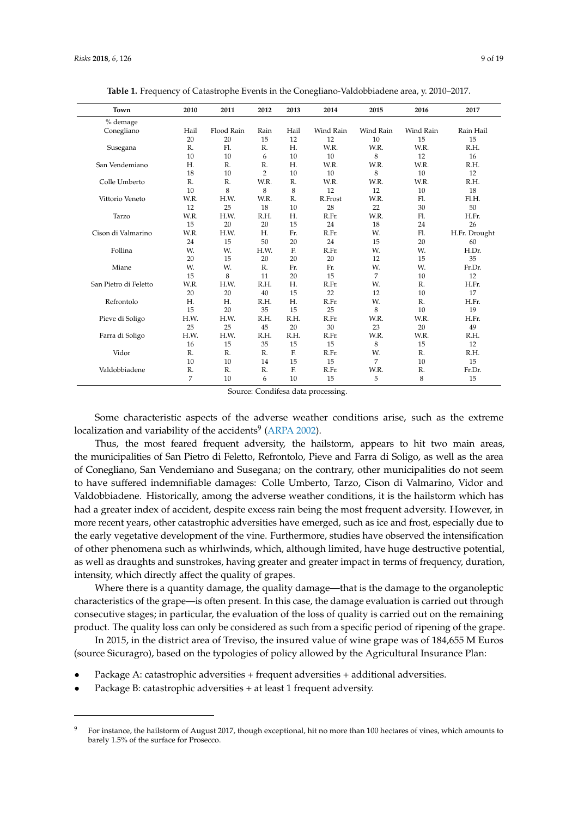| y | ∩t | 1 |
|---|----|---|
|   |    |   |

<span id="page-8-0"></span>

| Town                  | 2010 | 2011       | 2012           | 2013 | 2014      | 2015      | 2016        | 2017          |
|-----------------------|------|------------|----------------|------|-----------|-----------|-------------|---------------|
| % demage              |      |            |                |      |           |           |             |               |
| Conegliano            | Hail | Flood Rain | Rain           | Hail | Wind Rain | Wind Rain | Wind Rain   | Rain Hail     |
|                       | 20   | 20         | 15             | 12   | 12        | 10        | 15          | 15            |
| Susegana              | R.   | Fl.        | R.             | Н.   | W.R.      | W.R.      | W.R.        | R.H.          |
|                       | 10   | 10         | 6              | 10   | 10        | 8         | 12          | 16            |
| San Vendemiano        | Н.   | R.         | R.             | Н.   | W.R.      | W.R.      | W.R.        | R.H.          |
|                       | 18   | 10         | $\overline{2}$ | 10   | 10        | 8         | 10          | 12            |
| Colle Umberto         | R.   | R.         | W.R.           | R.   | W.R.      | W.R.      | W.R.        | R.H.          |
|                       | 10   | 8          | 8              | 8    | 12        | 12        | 10          | 18            |
| Vittorio Veneto       | W.R. | H.W.       | W.R.           | R.   | R.Frost   | W.R.      | Fl.         | Fl.H.         |
|                       | 12   | 25         | 18             | 10   | 28        | 22        | 30          | 50            |
| Tarzo                 | W.R. | H.W.       | R.H.           | Н.   | R.Fr.     | W.R.      | Fl.         | H.Fr.         |
|                       | 15   | 20         | 20             | 15   | 24        | 18        | 24          | 26            |
| Cison di Valmarino    | W.R. | H.W.       | Н.             | Fr.  | R.Fr.     | W.        | Fl.         | H.Fr. Drought |
|                       | 24   | 15         | 50             | 20   | 24        | 15        | 20          | 60            |
| Follina               | W.   | W.         | H.W.           | F.   | R.Fr.     | W.        | W.          | H.Dr.         |
|                       | 20   | 15         | 20             | 20   | 20        | 12        | 15          | 35            |
| Miane                 | W.   | W.         | $R_{\cdot}$    | Fr.  | Fr.       | W.        | W.          | Fr.Dr.        |
|                       | 15   | 8          | 11             | 20   | 15        | 7         | 10          | 12            |
| San Pietro di Feletto | W.R. | H.W.       | R.H.           | Н.   | R.Fr.     | W.        | R.          | H.Fr.         |
|                       | 20   | 20         | 40             | 15   | 22        | 12        | 10          | 17            |
| Refrontolo            | Н.   | Н.         | R.H.           | Н.   | R.Fr.     | W.        | R.          | H.Fr.         |
|                       | 15   | 20         | 35             | 15   | 25        | 8         | 10          | 19            |
| Pieve di Soligo       | H.W. | H.W.       | R.H.           | R.H. | R.Fr.     | W.R.      | W.R.        | H.Fr.         |
|                       | 25   | 25         | 45             | 20   | 30        | 23        | 20          | 49            |
| Farra di Soligo       | H.W. | H.W.       | R.H.           | R.H. | R.Fr.     | W.R.      | W.R.        | R.H.          |
|                       | 16   | 15         | 35             | 15   | 15        | 8         | 15          | 12            |
| Vidor                 | R.   | R.         | R.             | F.   | R.Fr.     | W.        | $R_{\cdot}$ | R.H.          |
|                       | 10   | 10         | 14             | 15   | 15        | 7         | 10          | 15            |
| Valdobbiadene         | R.   | R.         | R.             | F.   | R.Fr.     | W.R.      | R.          | Fr.Dr.        |
|                       | 7    | 10         | 6              | 10   | 15        | 5         | 8           | 15            |

**Table 1.** Frequency of Catastrophe Events in the Conegliano-Valdobbiadene area, y. 2010–2017.

Source: Condifesa data processing.

Some characteristic aspects of the adverse weather conditions arise, such as the extreme localization and variability of the accidents<sup>9</sup> [\(ARPA](#page-17-10) [2002\)](#page-17-10).

Thus, the most feared frequent adversity, the hailstorm, appears to hit two main areas, the municipalities of San Pietro di Feletto, Refrontolo, Pieve and Farra di Soligo, as well as the area of Conegliano, San Vendemiano and Susegana; on the contrary, other municipalities do not seem to have suffered indemnifiable damages: Colle Umberto, Tarzo, Cison di Valmarino, Vidor and Valdobbiadene. Historically, among the adverse weather conditions, it is the hailstorm which has had a greater index of accident, despite excess rain being the most frequent adversity. However, in more recent years, other catastrophic adversities have emerged, such as ice and frost, especially due to the early vegetative development of the vine. Furthermore, studies have observed the intensification of other phenomena such as whirlwinds, which, although limited, have huge destructive potential, as well as draughts and sunstrokes, having greater and greater impact in terms of frequency, duration, intensity, which directly affect the quality of grapes.

Where there is a quantity damage, the quality damage—that is the damage to the organoleptic characteristics of the grape—is often present. In this case, the damage evaluation is carried out through consecutive stages; in particular, the evaluation of the loss of quality is carried out on the remaining product. The quality loss can only be considered as such from a specific period of ripening of the grape.

In 2015, in the district area of Treviso, the insured value of wine grape was of 184,655 M Euros (source Sicuragro), based on the typologies of policy allowed by the Agricultural Insurance Plan:

- Package A: catastrophic adversities + frequent adversities + additional adversities.
- Package B: catastrophic adversities + at least 1 frequent adversity.

<sup>9</sup> For instance, the hailstorm of August 2017, though exceptional, hit no more than 100 hectares of vines, which amounts to barely 1.5% of the surface for Prosecco.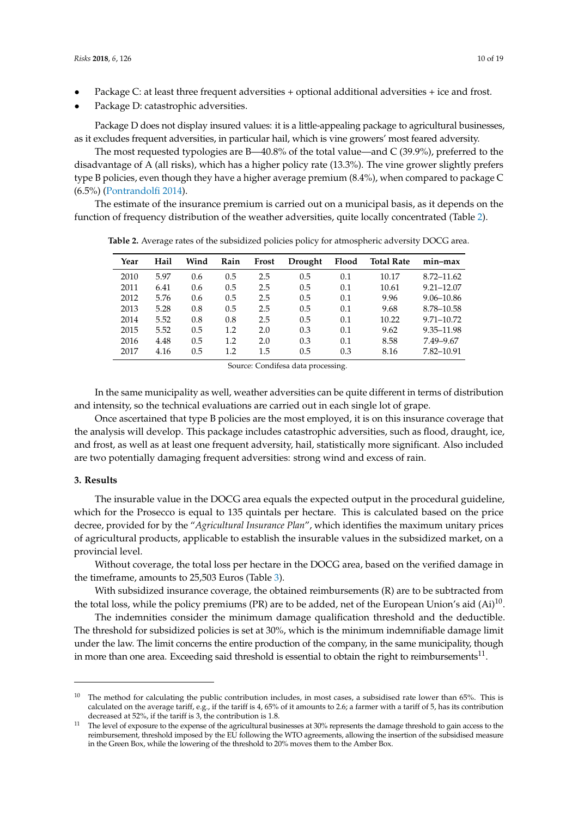- Package C: at least three frequent adversities + optional additional adversities + ice and frost.
- Package D: catastrophic adversities.

Package D does not display insured values: it is a little-appealing package to agricultural businesses, as it excludes frequent adversities, in particular hail, which is vine growers' most feared adversity.

The most requested typologies are B—40.8% of the total value—and C (39.9%), preferred to the disadvantage of A (all risks), which has a higher policy rate (13.3%). The vine grower slightly prefers type B policies, even though they have a higher average premium (8.4%), when compared to package C (6.5%) [\(Pontrandolfi](#page-18-5) [2014\)](#page-18-5).

<span id="page-9-0"></span>The estimate of the insurance premium is carried out on a municipal basis, as it depends on the function of frequency distribution of the weather adversities, quite locally concentrated (Table [2\)](#page-9-0).

| Year | Hail | Wind          | Rain | Frost | Drought | Flood | <b>Total Rate</b> | $min-max$      |
|------|------|---------------|------|-------|---------|-------|-------------------|----------------|
| 2010 | 5.97 | 0.6           | 0.5  | 2.5   | 0.5     | 0.1   | 10.17             | $8.72 - 11.62$ |
| 2011 | 6.41 | 0.6           | 0.5  | 2.5   | 0.5     | 0.1   | 10.61             | $9.21 - 12.07$ |
| 2012 | 5.76 | 0.6           | 0.5  | 2.5   | 0.5     | 0.1   | 9.96              | $9.06 - 10.86$ |
| 2013 | 5.28 | 0.8           | 0.5  | 2.5   | 0.5     | 0.1   | 9.68              | 8.78-10.58     |
| 2014 | 5.52 | 0.8           | 0.8  | 2.5   | 0.5     | 0.1   | 10.22             | $9.71 - 10.72$ |
| 2015 | 5.52 | 0.5           | 1.2  | 2.0   | 0.3     | 0.1   | 9.62              | 9.35-11.98     |
| 2016 | 4.48 | 0.5           | 1.2  | 2.0   | 0.3     | 0.1   | 8.58              | 7.49-9.67      |
| 2017 | 4.16 | $0.5^{\circ}$ | 1.2  | 1.5   | 0.5     | 0.3   | 8.16              | 7.82-10.91     |

**Table 2.** Average rates of the subsidized policies policy for atmospheric adversity DOCG area.

Source: Condifesa data processing.

In the same municipality as well, weather adversities can be quite different in terms of distribution and intensity, so the technical evaluations are carried out in each single lot of grape.

Once ascertained that type B policies are the most employed, it is on this insurance coverage that the analysis will develop. This package includes catastrophic adversities, such as flood, draught, ice, and frost, as well as at least one frequent adversity, hail, statistically more significant. Also included are two potentially damaging frequent adversities: strong wind and excess of rain.

## <span id="page-9-1"></span>**3. Results**

The insurable value in the DOCG area equals the expected output in the procedural guideline, which for the Prosecco is equal to 135 quintals per hectare. This is calculated based on the price decree, provided for by the "*Agricultural Insurance Plan*", which identifies the maximum unitary prices of agricultural products, applicable to establish the insurable values in the subsidized market, on a provincial level.

Without coverage, the total loss per hectare in the DOCG area, based on the verified damage in the timeframe, amounts to 25,503 Euros (Table [3\)](#page-10-0).

With subsidized insurance coverage, the obtained reimbursements  $(R)$  are to be subtracted from the total loss, while the policy premiums (PR) are to be added, net of the European Union's aid (Ai)<sup>10</sup>.

The indemnities consider the minimum damage qualification threshold and the deductible. The threshold for subsidized policies is set at 30%, which is the minimum indemnifiable damage limit under the law. The limit concerns the entire production of the company, in the same municipality, though in more than one area. Exceeding said threshold is essential to obtain the right to reimbursements<sup>11</sup>.

The method for calculating the public contribution includes, in most cases, a subsidised rate lower than 65%. This is calculated on the average tariff, e.g., if the tariff is 4, 65% of it amounts to 2.6; a farmer with a tariff of 5, has its contribution decreased at 52%, if the tariff is 3, the contribution is 1.8.

<sup>&</sup>lt;sup>11</sup> The level of exposure to the expense of the agricultural businesses at 30% represents the damage threshold to gain access to the reimbursement, threshold imposed by the EU following the WTO agreements, allowing the insertion of the subsidised measure in the Green Box, while the lowering of the threshold to 20% moves them to the Amber Box.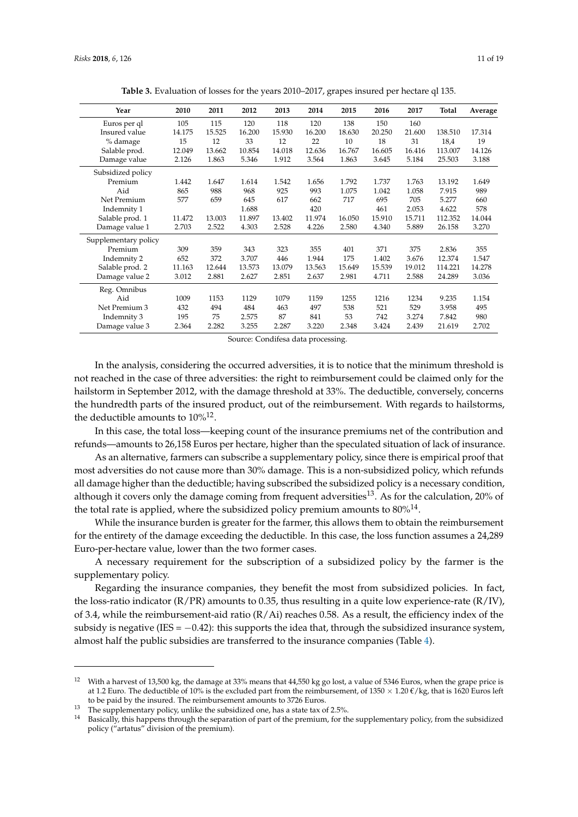<span id="page-10-0"></span>

| Year                 | 2010   | 2011   | 2012   | 2013   | 2014   | 2015   | 2016   | 2017   | Total   | Average |
|----------------------|--------|--------|--------|--------|--------|--------|--------|--------|---------|---------|
| Euros per ql         | 105    | 115    | 120    | 118    | 120    | 138    | 150    | 160    |         |         |
| Insured value        | 14.175 | 15.525 | 16.200 | 15.930 | 16.200 | 18.630 | 20.250 | 21.600 | 138.510 | 17.314  |
| % damage             | 15     | 12     | 33     | 12     | 22     | 10     | 18     | 31     | 18,4    | 19      |
| Salable prod.        | 12.049 | 13.662 | 10.854 | 14.018 | 12.636 | 16.767 | 16.605 | 16.416 | 113.007 | 14.126  |
| Damage value         | 2.126  | 1.863  | 5.346  | 1.912  | 3.564  | 1.863  | 3.645  | 5.184  | 25.503  | 3.188   |
| Subsidized policy    |        |        |        |        |        |        |        |        |         |         |
| Premium              | 1.442  | 1.647  | 1.614  | 1.542  | 1.656  | 1.792  | 1.737  | 1.763  | 13.192  | 1.649   |
| Aid                  | 865    | 988    | 968    | 925    | 993    | 1.075  | 1.042  | 1.058  | 7.915   | 989     |
| Net Premium          | 577    | 659    | 645    | 617    | 662    | 717    | 695    | 705    | 5.277   | 660     |
| Indemnity 1          |        |        | 1.688  |        | 420    |        | 461    | 2.053  | 4.622   | 578     |
| Salable prod. 1      | 11.472 | 13.003 | 11.897 | 13.402 | 11.974 | 16.050 | 15.910 | 15.711 | 112.352 | 14.044  |
| Damage value 1       | 2.703  | 2.522  | 4.303  | 2.528  | 4.226  | 2.580  | 4.340  | 5.889  | 26.158  | 3.270   |
| Supplementary policy |        |        |        |        |        |        |        |        |         |         |
| Premium              | 309    | 359    | 343    | 323    | 355    | 401    | 371    | 375    | 2.836   | 355     |
| Indemnity 2          | 652    | 372    | 3.707  | 446    | 1.944  | 175    | 1.402  | 3.676  | 12.374  | 1.547   |
| Salable prod. 2      | 11.163 | 12.644 | 13.573 | 13.079 | 13.563 | 15.649 | 15.539 | 19.012 | 114.221 | 14.278  |
| Damage value 2       | 3.012  | 2.881  | 2.627  | 2.851  | 2.637  | 2.981  | 4.711  | 2.588  | 24.289  | 3.036   |
| Reg. Omnibus         |        |        |        |        |        |        |        |        |         |         |
| Aid                  | 1009   | 1153   | 1129   | 1079   | 1159   | 1255   | 1216   | 1234   | 9.235   | 1.154   |
| Net Premium 3        | 432    | 494    | 484    | 463    | 497    | 538    | 521    | 529    | 3.958   | 495     |
| Indemnity 3          | 195    | 75     | 2.575  | 87     | 841    | 53     | 742    | 3.274  | 7.842   | 980     |
| Damage value 3       | 2.364  | 2.282  | 3.255  | 2.287  | 3.220  | 2.348  | 3.424  | 2.439  | 21.619  | 2.702   |

Table 3. Evaluation of losses for the years 2010–2017, grapes insured per hectare ql 135.

Source: Condifesa data processing.

In the analysis, considering the occurred adversities, it is to notice that the minimum threshold is not reached in the case of three adversities: the right to reimbursement could be claimed only for the hailstorm in September 2012, with the damage threshold at 33%. The deductible, conversely, concerns the hundredth parts of the insured product, out of the reimbursement. With regards to hailstorms, the deductible amounts to  $10\frac{\cancel{0}^{12}}{1}$ .

In this case, the total loss—keeping count of the insurance premiums net of the contribution and refunds—amounts to 26,158 Euros per hectare, higher than the speculated situation of lack of insurance.

As an alternative, farmers can subscribe a supplementary policy, since there is empirical proof that most adversities do not cause more than 30% damage. This is a non-subsidized policy, which refunds all damage higher than the deductible; having subscribed the subsidized policy is a necessary condition, although it covers only the damage coming from frequent adversities<sup>13</sup>. As for the calculation, 20% of the total rate is applied, where the subsidized policy premium amounts to  $80\%^{14}$ .

While the insurance burden is greater for the farmer, this allows them to obtain the reimbursement for the entirety of the damage exceeding the deductible. In this case, the loss function assumes a 24,289 Euro-per-hectare value, lower than the two former cases.

A necessary requirement for the subscription of a subsidized policy by the farmer is the supplementary policy.

Regarding the insurance companies, they benefit the most from subsidized policies. In fact, the loss-ratio indicator ( $R/PR$ ) amounts to 0.35, thus resulting in a quite low experience-rate ( $R/IV$ ), of 3.4, while the reimbursement-aid ratio  $(R/Ai)$  reaches 0.58. As a result, the efficiency index of the subsidy is negative (IES =  $-0.42$ ): this supports the idea that, through the subsidized insurance system, almost half the public subsidies are transferred to the insurance companies (Table [4\)](#page-11-0).

<sup>&</sup>lt;sup>12</sup> With a harvest of 13,500 kg, the damage at 33% means that 44,550 kg go lost, a value of 5346 Euros, when the grape price is at 1.2 Euro. The deductible of 10% is the excluded part from the reimbursement, of 1350  $\times$  1.20  $\ell$ /kg, that is 1620 Euros left to be paid by the insured. The reimbursement amounts to 3726 Euros.

<sup>&</sup>lt;sup>13</sup> The supplementary policy, unlike the subsidized one, has a state tax of 2.5%.

<sup>&</sup>lt;sup>14</sup> Basically, this happens through the separation of part of the premium, for the supplementary policy, from the subsidized policy ("artatus" division of the premium).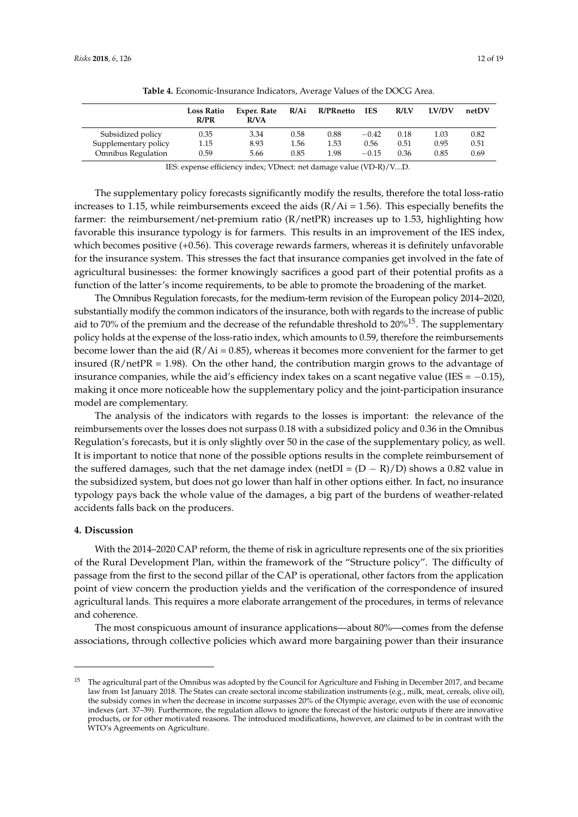| ΩŤ<br>$\overline{\phantom{a}}$ |  |
|--------------------------------|--|
|                                |  |

<span id="page-11-0"></span>

|                      | Loss Ratio<br>R/PR | Exper. Rate<br>R/VA | R/Ai | R/PRnetto | <b>IES</b> | R/LV | LV/DV | netDV |
|----------------------|--------------------|---------------------|------|-----------|------------|------|-------|-------|
| Subsidized policy    | 0.35               | 3.34                | 0.58 | 0.88      | $-0.42$    | 0.18 | 1.03  | 0.82  |
| Supplementary policy | 1.15               | 8.93                | 1.56 | 1.53      | 0.56       | 0.51 | 0.95  | 0.51  |
| Omnibus Regulation   | 0.59               | 5.66                | 0.85 | 1.98      | $-0.15$    | 0.36 | 0.85  | 0.69  |

**Table 4.** Economic-Insurance Indicators, Average Values of the DOCG Area.

IES: expense efficiency index; VDnect: net damage value (VD-R)/V....D.

The supplementary policy forecasts significantly modify the results, therefore the total loss-ratio increases to 1.15, while reimbursements exceed the aids  $(R/Ai = 1.56)$ . This especially benefits the farmer: the reimbursement/net-premium ratio (R/netPR) increases up to 1.53, highlighting how favorable this insurance typology is for farmers. This results in an improvement of the IES index, which becomes positive (+0.56). This coverage rewards farmers, whereas it is definitely unfavorable for the insurance system. This stresses the fact that insurance companies get involved in the fate of agricultural businesses: the former knowingly sacrifices a good part of their potential profits as a function of the latter's income requirements, to be able to promote the broadening of the market.

The Omnibus Regulation forecasts, for the medium-term revision of the European policy 2014–2020, substantially modify the common indicators of the insurance, both with regards to the increase of public aid to 70% of the premium and the decrease of the refundable threshold to  $20\%$ <sup>15</sup>. The supplementary policy holds at the expense of the loss-ratio index, which amounts to 0.59, therefore the reimbursements become lower than the aid  $(R/Ai = 0.85)$ , whereas it becomes more convenient for the farmer to get insured ( $R/netPR = 1.98$ ). On the other hand, the contribution margin grows to the advantage of insurance companies, while the aid's efficiency index takes on a scant negative value (IES =  $-0.15$ ), making it once more noticeable how the supplementary policy and the joint-participation insurance model are complementary.

The analysis of the indicators with regards to the losses is important: the relevance of the reimbursements over the losses does not surpass 0.18 with a subsidized policy and 0.36 in the Omnibus Regulation's forecasts, but it is only slightly over 50 in the case of the supplementary policy, as well. It is important to notice that none of the possible options results in the complete reimbursement of the suffered damages, such that the net damage index (netDI =  $(D - R)/D$ ) shows a 0.82 value in the subsidized system, but does not go lower than half in other options either. In fact, no insurance typology pays back the whole value of the damages, a big part of the burdens of weather-related accidents falls back on the producers.

### <span id="page-11-1"></span>**4. Discussion**

With the 2014–2020 CAP reform, the theme of risk in agriculture represents one of the six priorities of the Rural Development Plan, within the framework of the "Structure policy". The difficulty of passage from the first to the second pillar of the CAP is operational, other factors from the application point of view concern the production yields and the verification of the correspondence of insured agricultural lands. This requires a more elaborate arrangement of the procedures, in terms of relevance and coherence.

The most conspicuous amount of insurance applications—about 80%—comes from the defense associations, through collective policies which award more bargaining power than their insurance

<sup>&</sup>lt;sup>15</sup> The agricultural part of the Omnibus was adopted by the Council for Agriculture and Fishing in December 2017, and became law from 1st January 2018. The States can create sectoral income stabilization instruments (e.g., milk, meat, cereals, olive oil), the subsidy comes in when the decrease in income surpasses 20% of the Olympic average, even with the use of economic indexes (art. 37–39). Furthermore, the regulation allows to ignore the forecast of the historic outputs if there are innovative products, or for other motivated reasons. The introduced modifications, however, are claimed to be in contrast with the WTO's Agreements on Agriculture.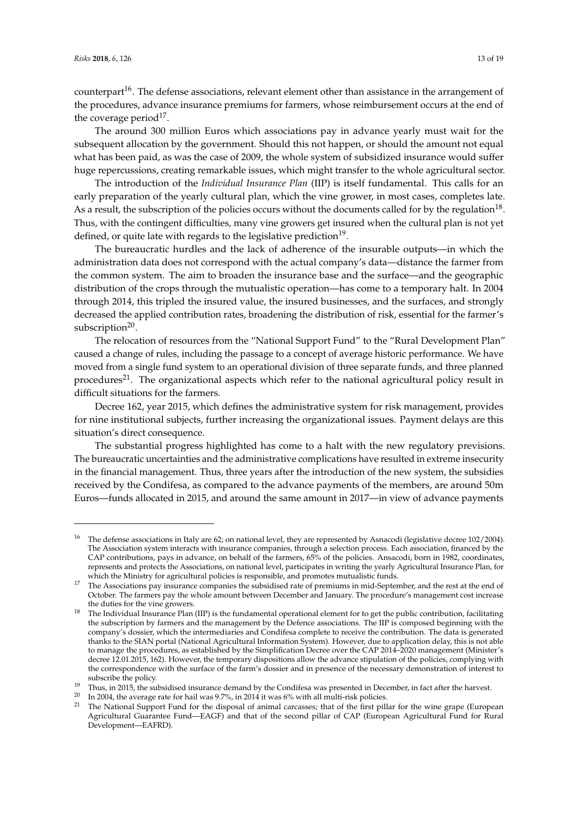counterpart<sup>16</sup>. The defense associations, relevant element other than assistance in the arrangement of the procedures, advance insurance premiums for farmers, whose reimbursement occurs at the end of the coverage period $17$ .

The around 300 million Euros which associations pay in advance yearly must wait for the subsequent allocation by the government. Should this not happen, or should the amount not equal what has been paid, as was the case of 2009, the whole system of subsidized insurance would suffer huge repercussions, creating remarkable issues, which might transfer to the whole agricultural sector.

The introduction of the *Individual Insurance Plan* (IIP) is itself fundamental. This calls for an early preparation of the yearly cultural plan, which the vine grower, in most cases, completes late. As a result, the subscription of the policies occurs without the documents called for by the regulation<sup>18</sup>. Thus, with the contingent difficulties, many vine growers get insured when the cultural plan is not yet defined, or quite late with regards to the legislative prediction<sup>19</sup>.

The bureaucratic hurdles and the lack of adherence of the insurable outputs—in which the administration data does not correspond with the actual company's data—distance the farmer from the common system. The aim to broaden the insurance base and the surface—and the geographic distribution of the crops through the mutualistic operation—has come to a temporary halt. In 2004 through 2014, this tripled the insured value, the insured businesses, and the surfaces, and strongly decreased the applied contribution rates, broadening the distribution of risk, essential for the farmer's subscription<sup>20</sup>.

The relocation of resources from the "National Support Fund" to the "Rural Development Plan" caused a change of rules, including the passage to a concept of average historic performance. We have moved from a single fund system to an operational division of three separate funds, and three planned procedures<sup>21</sup>. The organizational aspects which refer to the national agricultural policy result in difficult situations for the farmers.

Decree 162, year 2015, which defines the administrative system for risk management, provides for nine institutional subjects, further increasing the organizational issues. Payment delays are this situation's direct consequence.

The substantial progress highlighted has come to a halt with the new regulatory previsions. The bureaucratic uncertainties and the administrative complications have resulted in extreme insecurity in the financial management. Thus, three years after the introduction of the new system, the subsidies received by the Condifesa, as compared to the advance payments of the members, are around 50m Euros—funds allocated in 2015, and around the same amount in 2017—in view of advance payments

<sup>&</sup>lt;sup>16</sup> The defense associations in Italy are 62; on national level, they are represented by Asnacodi (legislative decree 102/2004). The Association system interacts with insurance companies, through a selection process. Each association, financed by the CAP contributions, pays in advance, on behalf of the farmers, 65% of the policies. Ansacodi, born in 1982, coordinates, represents and protects the Associations, on national level, participates in writing the yearly Agricultural Insurance Plan, for which the Ministry for agricultural policies is responsible, and promotes mutualistic funds.

<sup>&</sup>lt;sup>17</sup> The Associations pay insurance companies the subsidised rate of premiums in mid-September, and the rest at the end of October. The farmers pay the whole amount between December and January. The procedure's management cost increase the duties for the vine growers.

 $18$  The Individual Insurance Plan (IIP) is the fundamental operational element for to get the public contribution, facilitating the subscription by farmers and the management by the Defence associations. The IIP is composed beginning with the company's dossier, which the intermediaries and Condifesa complete to receive the contribution. The data is generated thanks to the SIAN portal (National Agricultural Information System). However, due to application delay, this is not able to manage the procedures, as established by the Simplification Decree over the CAP 2014–2020 management (Minister's decree 12.01.2015, 162). However, the temporary dispositions allow the advance stipulation of the policies, complying with the correspondence with the surface of the farm's dossier and in presence of the necessary demonstration of interest to subscribe the policy.

<sup>&</sup>lt;sup>19</sup> Thus, in 2015, the subsidised insurance demand by the Condifesa was presented in December, in fact after the harvest.

 $20$  In 2004, the average rate for hail was 9.7%, in 2014 it was 6% with all multi-risk policies.

<sup>&</sup>lt;sup>21</sup> The National Support Fund for the disposal of animal carcasses; that of the first pillar for the wine grape (European Agricultural Guarantee Fund—EAGF) and that of the second pillar of CAP (European Agricultural Fund for Rural Development—EAFRD).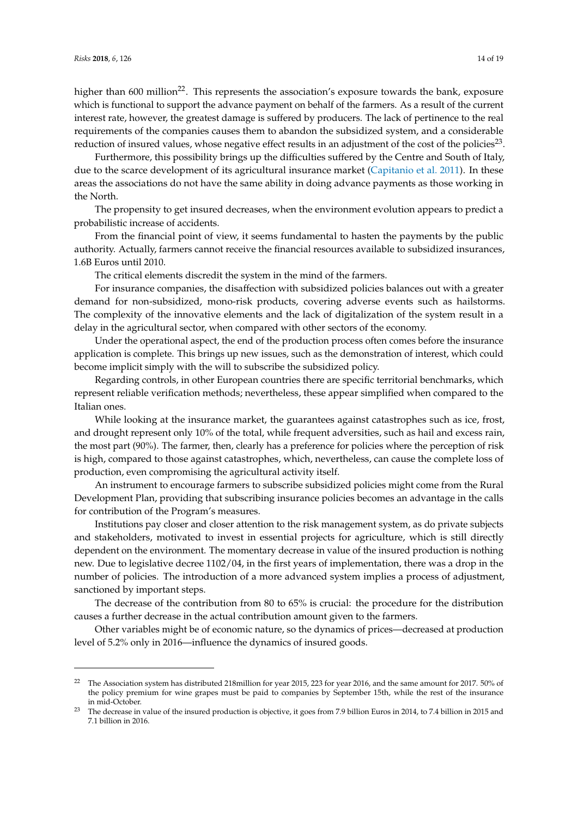higher than  $600$  million<sup>22</sup>. This represents the association's exposure towards the bank, exposure which is functional to support the advance payment on behalf of the farmers. As a result of the current interest rate, however, the greatest damage is suffered by producers. The lack of pertinence to the real requirements of the companies causes them to abandon the subsidized system, and a considerable reduction of insured values, whose negative effect results in an adjustment of the cost of the policies<sup>23</sup>.

Furthermore, this possibility brings up the difficulties suffered by the Centre and South of Italy, due to the scarce development of its agricultural insurance market [\(Capitanio et al.](#page-17-11) [2011\)](#page-17-11). In these areas the associations do not have the same ability in doing advance payments as those working in the North.

The propensity to get insured decreases, when the environment evolution appears to predict a probabilistic increase of accidents.

From the financial point of view, it seems fundamental to hasten the payments by the public authority. Actually, farmers cannot receive the financial resources available to subsidized insurances, 1.6B Euros until 2010.

The critical elements discredit the system in the mind of the farmers.

For insurance companies, the disaffection with subsidized policies balances out with a greater demand for non-subsidized, mono-risk products, covering adverse events such as hailstorms. The complexity of the innovative elements and the lack of digitalization of the system result in a delay in the agricultural sector, when compared with other sectors of the economy.

Under the operational aspect, the end of the production process often comes before the insurance application is complete. This brings up new issues, such as the demonstration of interest, which could become implicit simply with the will to subscribe the subsidized policy.

Regarding controls, in other European countries there are specific territorial benchmarks, which represent reliable verification methods; nevertheless, these appear simplified when compared to the Italian ones.

While looking at the insurance market, the guarantees against catastrophes such as ice, frost, and drought represent only 10% of the total, while frequent adversities, such as hail and excess rain, the most part (90%). The farmer, then, clearly has a preference for policies where the perception of risk is high, compared to those against catastrophes, which, nevertheless, can cause the complete loss of production, even compromising the agricultural activity itself.

An instrument to encourage farmers to subscribe subsidized policies might come from the Rural Development Plan, providing that subscribing insurance policies becomes an advantage in the calls for contribution of the Program's measures.

Institutions pay closer and closer attention to the risk management system, as do private subjects and stakeholders, motivated to invest in essential projects for agriculture, which is still directly dependent on the environment. The momentary decrease in value of the insured production is nothing new. Due to legislative decree 1102/04, in the first years of implementation, there was a drop in the number of policies. The introduction of a more advanced system implies a process of adjustment, sanctioned by important steps.

The decrease of the contribution from 80 to 65% is crucial: the procedure for the distribution causes a further decrease in the actual contribution amount given to the farmers.

Other variables might be of economic nature, so the dynamics of prices—decreased at production level of 5.2% only in 2016—influence the dynamics of insured goods.

 $22$  The Association system has distributed 218million for year 2015, 223 for year 2016, and the same amount for 2017. 50% of the policy premium for wine grapes must be paid to companies by September 15th, while the rest of the insurance in mid-October.

<sup>&</sup>lt;sup>23</sup> The decrease in value of the insured production is objective, it goes from 7.9 billion Euros in 2014, to 7.4 billion in 2015 and 7.1 billion in 2016.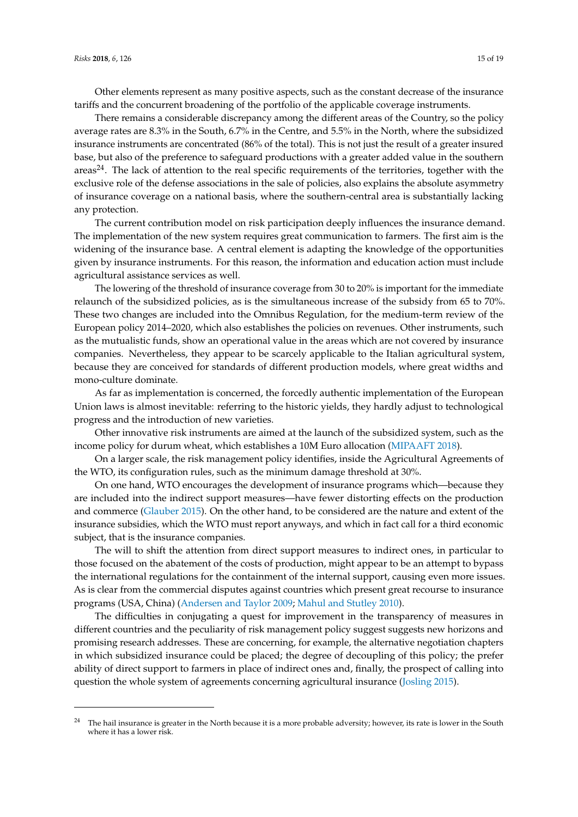Other elements represent as many positive aspects, such as the constant decrease of the insurance tariffs and the concurrent broadening of the portfolio of the applicable coverage instruments.

There remains a considerable discrepancy among the different areas of the Country, so the policy average rates are 8.3% in the South, 6.7% in the Centre, and 5.5% in the North, where the subsidized insurance instruments are concentrated (86% of the total). This is not just the result of a greater insured base, but also of the preference to safeguard productions with a greater added value in the southern areas<sup>24</sup>. The lack of attention to the real specific requirements of the territories, together with the exclusive role of the defense associations in the sale of policies, also explains the absolute asymmetry of insurance coverage on a national basis, where the southern-central area is substantially lacking any protection.

The current contribution model on risk participation deeply influences the insurance demand. The implementation of the new system requires great communication to farmers. The first aim is the widening of the insurance base. A central element is adapting the knowledge of the opportunities given by insurance instruments. For this reason, the information and education action must include agricultural assistance services as well.

The lowering of the threshold of insurance coverage from 30 to 20% is important for the immediate relaunch of the subsidized policies, as is the simultaneous increase of the subsidy from 65 to 70%. These two changes are included into the Omnibus Regulation, for the medium-term review of the European policy 2014–2020, which also establishes the policies on revenues. Other instruments, such as the mutualistic funds, show an operational value in the areas which are not covered by insurance companies. Nevertheless, they appear to be scarcely applicable to the Italian agricultural system, because they are conceived for standards of different production models, where great widths and mono-culture dominate.

As far as implementation is concerned, the forcedly authentic implementation of the European Union laws is almost inevitable: referring to the historic yields, they hardly adjust to technological progress and the introduction of new varieties.

Other innovative risk instruments are aimed at the launch of the subsidized system, such as the income policy for durum wheat, which establishes a 10M Euro allocation [\(MIPAAFT](#page-18-6) [2018\)](#page-18-6).

On a larger scale, the risk management policy identifies, inside the Agricultural Agreements of the WTO, its configuration rules, such as the minimum damage threshold at 30%.

On one hand, WTO encourages the development of insurance programs which—because they are included into the indirect support measures—have fewer distorting effects on the production and commerce [\(Glauber](#page-17-12) [2015\)](#page-17-12). On the other hand, to be considered are the nature and extent of the insurance subsidies, which the WTO must report anyways, and which in fact call for a third economic subject, that is the insurance companies.

The will to shift the attention from direct support measures to indirect ones, in particular to those focused on the abatement of the costs of production, might appear to be an attempt to bypass the international regulations for the containment of the internal support, causing even more issues. As is clear from the commercial disputes against countries which present great recourse to insurance programs (USA, China) [\(Andersen and Taylor](#page-17-13) [2009;](#page-17-13) [Mahul and Stutley](#page-17-14) [2010\)](#page-17-14).

The difficulties in conjugating a quest for improvement in the transparency of measures in different countries and the peculiarity of risk management policy suggest suggests new horizons and promising research addresses. These are concerning, for example, the alternative negotiation chapters in which subsidized insurance could be placed; the degree of decoupling of this policy; the prefer ability of direct support to farmers in place of indirect ones and, finally, the prospect of calling into question the whole system of agreements concerning agricultural insurance [\(Josling](#page-17-15) [2015\)](#page-17-15).

 $24$  The hail insurance is greater in the North because it is a more probable adversity; however, its rate is lower in the South where it has a lower risk.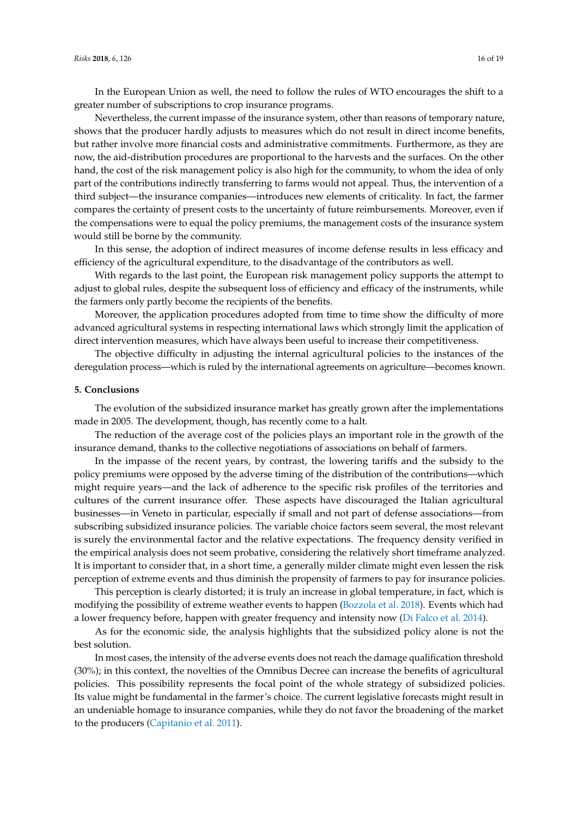In the European Union as well, the need to follow the rules of WTO encourages the shift to a greater number of subscriptions to crop insurance programs.

Nevertheless, the current impasse of the insurance system, other than reasons of temporary nature, shows that the producer hardly adjusts to measures which do not result in direct income benefits, but rather involve more financial costs and administrative commitments. Furthermore, as they are now, the aid-distribution procedures are proportional to the harvests and the surfaces. On the other hand, the cost of the risk management policy is also high for the community, to whom the idea of only part of the contributions indirectly transferring to farms would not appeal. Thus, the intervention of a third subject—the insurance companies—introduces new elements of criticality. In fact, the farmer compares the certainty of present costs to the uncertainty of future reimbursements. Moreover, even if the compensations were to equal the policy premiums, the management costs of the insurance system would still be borne by the community.

In this sense, the adoption of indirect measures of income defense results in less efficacy and efficiency of the agricultural expenditure, to the disadvantage of the contributors as well.

With regards to the last point, the European risk management policy supports the attempt to adjust to global rules, despite the subsequent loss of efficiency and efficacy of the instruments, while the farmers only partly become the recipients of the benefits.

Moreover, the application procedures adopted from time to time show the difficulty of more advanced agricultural systems in respecting international laws which strongly limit the application of direct intervention measures, which have always been useful to increase their competitiveness.

The objective difficulty in adjusting the internal agricultural policies to the instances of the deregulation process—which is ruled by the international agreements on agriculture—becomes known.

#### **5. Conclusions**

The evolution of the subsidized insurance market has greatly grown after the implementations made in 2005. The development, though, has recently come to a halt.

The reduction of the average cost of the policies plays an important role in the growth of the insurance demand, thanks to the collective negotiations of associations on behalf of farmers.

In the impasse of the recent years, by contrast, the lowering tariffs and the subsidy to the policy premiums were opposed by the adverse timing of the distribution of the contributions—which might require years—and the lack of adherence to the specific risk profiles of the territories and cultures of the current insurance offer. These aspects have discouraged the Italian agricultural businesses—in Veneto in particular, especially if small and not part of defense associations—from subscribing subsidized insurance policies. The variable choice factors seem several, the most relevant is surely the environmental factor and the relative expectations. The frequency density verified in the empirical analysis does not seem probative, considering the relatively short timeframe analyzed. It is important to consider that, in a short time, a generally milder climate might even lessen the risk perception of extreme events and thus diminish the propensity of farmers to pay for insurance policies.

This perception is clearly distorted; it is truly an increase in global temperature, in fact, which is modifying the possibility of extreme weather events to happen [\(Bozzola et al.](#page-17-16) [2018\)](#page-17-16). Events which had a lower frequency before, happen with greater frequency and intensity now [\(Di Falco et al.](#page-17-17) [2014\)](#page-17-17).

As for the economic side, the analysis highlights that the subsidized policy alone is not the best solution.

In most cases, the intensity of the adverse events does not reach the damage qualification threshold (30%); in this context, the novelties of the Omnibus Decree can increase the benefits of agricultural policies. This possibility represents the focal point of the whole strategy of subsidized policies. Its value might be fundamental in the farmer's choice. The current legislative forecasts might result in an undeniable homage to insurance companies, while they do not favor the broadening of the market to the producers [\(Capitanio et al.](#page-17-11) [2011\)](#page-17-11).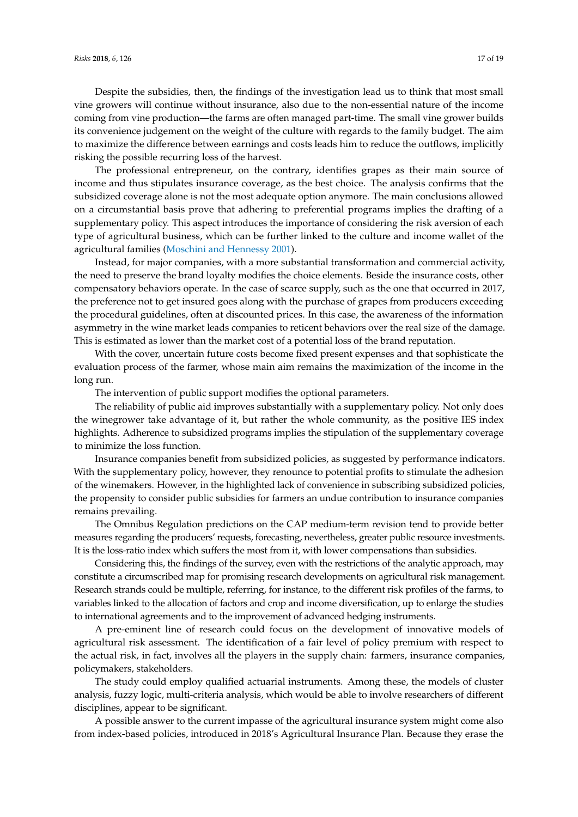to maximize the difference between earnings and costs leads him to reduce the outflows, implicitly risking the possible recurring loss of the harvest. The professional entrepreneur, on the contrary, identifies grapes as their main source of income and thus stipulates insurance coverage, as the best choice. The analysis confirms that the subsidized coverage alone is not the most adequate option anymore. The main conclusions allowed on a circumstantial basis prove that adhering to preferential programs implies the drafting of a supplementary policy. This aspect introduces the importance of considering the risk aversion of each

type of agricultural business, which can be further linked to the culture and income wallet of the agricultural families [\(Moschini and Hennessy](#page-18-7) [2001\)](#page-18-7). Instead, for major companies, with a more substantial transformation and commercial activity, the need to preserve the brand loyalty modifies the choice elements. Beside the insurance costs, other compensatory behaviors operate. In the case of scarce supply, such as the one that occurred in 2017, the preference not to get insured goes along with the purchase of grapes from producers exceeding

the procedural guidelines, often at discounted prices. In this case, the awareness of the information asymmetry in the wine market leads companies to reticent behaviors over the real size of the damage. This is estimated as lower than the market cost of a potential loss of the brand reputation. With the cover, uncertain future costs become fixed present expenses and that sophisticate the

evaluation process of the farmer, whose main aim remains the maximization of the income in the long run.

The intervention of public support modifies the optional parameters.

The reliability of public aid improves substantially with a supplementary policy. Not only does the winegrower take advantage of it, but rather the whole community, as the positive IES index highlights. Adherence to subsidized programs implies the stipulation of the supplementary coverage to minimize the loss function.

Insurance companies benefit from subsidized policies, as suggested by performance indicators. With the supplementary policy, however, they renounce to potential profits to stimulate the adhesion of the winemakers. However, in the highlighted lack of convenience in subscribing subsidized policies, the propensity to consider public subsidies for farmers an undue contribution to insurance companies remains prevailing.

The Omnibus Regulation predictions on the CAP medium-term revision tend to provide better measures regarding the producers' requests, forecasting, nevertheless, greater public resource investments. It is the loss-ratio index which suffers the most from it, with lower compensations than subsidies.

Considering this, the findings of the survey, even with the restrictions of the analytic approach, may constitute a circumscribed map for promising research developments on agricultural risk management. Research strands could be multiple, referring, for instance, to the different risk profiles of the farms, to variables linked to the allocation of factors and crop and income diversification, up to enlarge the studies to international agreements and to the improvement of advanced hedging instruments.

A pre-eminent line of research could focus on the development of innovative models of agricultural risk assessment. The identification of a fair level of policy premium with respect to the actual risk, in fact, involves all the players in the supply chain: farmers, insurance companies, policymakers, stakeholders.

The study could employ qualified actuarial instruments. Among these, the models of cluster analysis, fuzzy logic, multi-criteria analysis, which would be able to involve researchers of different disciplines, appear to be significant.

A possible answer to the current impasse of the agricultural insurance system might come also from index-based policies, introduced in 2018's Agricultural Insurance Plan. Because they erase the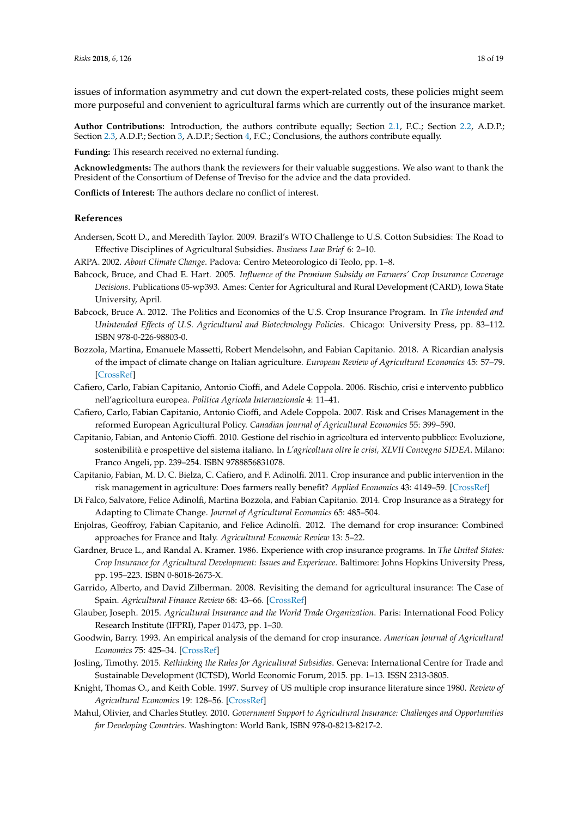issues of information asymmetry and cut down the expert-related costs, these policies might seem more purposeful and convenient to agricultural farms which are currently out of the insurance market.

**Author Contributions:** Introduction, the authors contribute equally; Section [2.1,](#page-2-0) F.C.; Section [2.2,](#page-4-0) A.D.P.; Section [2.3,](#page-7-0) A.D.P.; Section [3,](#page-9-1) A.D.P.; Section [4,](#page-11-1) F.C.; Conclusions, the authors contribute equally.

**Funding:** This research received no external funding.

**Acknowledgments:** The authors thank the reviewers for their valuable suggestions. We also want to thank the President of the Consortium of Defense of Treviso for the advice and the data provided.

**Conflicts of Interest:** The authors declare no conflict of interest.

## **References**

- <span id="page-17-13"></span>Andersen, Scott D., and Meredith Taylor. 2009. Brazil's WTO Challenge to U.S. Cotton Subsidies: The Road to Effective Disciplines of Agricultural Subsidies. *Business Law Brief* 6: 2–10.
- <span id="page-17-10"></span>ARPA. 2002. *About Climate Change*. Padova: Centro Meteorologico di Teolo, pp. 1–8.
- <span id="page-17-8"></span>Babcock, Bruce, and Chad E. Hart. 2005. *Influence of the Premium Subsidy on Farmers' Crop Insurance Coverage Decisions*. Publications 05-wp393. Ames: Center for Agricultural and Rural Development (CARD), Iowa State University, April.
- <span id="page-17-4"></span>Babcock, Bruce A. 2012. The Politics and Economics of the U.S. Crop Insurance Program. In *The Intended and Unintended Effects of U.S. Agricultural and Biotechnology Policies*. Chicago: University Press, pp. 83–112. ISBN 978-0-226-98803-0.
- <span id="page-17-16"></span>Bozzola, Martina, Emanuele Massetti, Robert Mendelsohn, and Fabian Capitanio. 2018. A Ricardian analysis of the impact of climate change on Italian agriculture. *European Review of Agricultural Economics* 45: 57–79. [\[CrossRef\]](http://dx.doi.org/10.1093/erae/jbx023)
- <span id="page-17-1"></span>Cafiero, Carlo, Fabian Capitanio, Antonio Cioffi, and Adele Coppola. 2006. Rischio, crisi e intervento pubblico nell'agricoltura europea. *Politica Agricola Internazionale* 4: 11–41.
- <span id="page-17-2"></span>Cafiero, Carlo, Fabian Capitanio, Antonio Cioffi, and Adele Coppola. 2007. Risk and Crises Management in the reformed European Agricultural Policy. *Canadian Journal of Agricultural Economics* 55: 399–590.
- <span id="page-17-0"></span>Capitanio, Fabian, and Antonio Cioffi. 2010. Gestione del rischio in agricoltura ed intervento pubblico: Evoluzione, sostenibilità e prospettive del sistema italiano. In *L'agricoltura oltre le crisi, XLVII Convegno SIDEA*. Milano: Franco Angeli, pp. 239–254. ISBN 9788856831078.
- <span id="page-17-11"></span>Capitanio, Fabian, M. D. C. Bielza, C. Cafiero, and F. Adinolfi. 2011. Crop insurance and public intervention in the risk management in agriculture: Does farmers really benefit? *Applied Economics* 43: 4149–59. [\[CrossRef\]](http://dx.doi.org/10.1080/00036846.2010.487823)
- <span id="page-17-17"></span>Di Falco, Salvatore, Felice Adinolfi, Martina Bozzola, and Fabian Capitanio. 2014. Crop Insurance as a Strategy for Adapting to Climate Change. *Journal of Agricultural Economics* 65: 485–504.
- <span id="page-17-6"></span>Enjolras, Geoffroy, Fabian Capitanio, and Felice Adinolfi. 2012. The demand for crop insurance: Combined approaches for France and Italy. *Agricultural Economic Review* 13: 5–22.
- <span id="page-17-7"></span>Gardner, Bruce L., and Randal A. Kramer. 1986. Experience with crop insurance programs. In *The United States: Crop Insurance for Agricultural Development: Issues and Experience*. Baltimore: Johns Hopkins University Press, pp. 195–223. ISBN 0-8018-2673-X.
- <span id="page-17-5"></span>Garrido, Alberto, and David Zilberman. 2008. Revisiting the demand for agricultural insurance: The Case of Spain. *Agricultural Finance Review* 68: 43–66. [\[CrossRef\]](http://dx.doi.org/10.1108/00214660880001218)
- <span id="page-17-12"></span>Glauber, Joseph. 2015. *Agricultural Insurance and the World Trade Organization*. Paris: International Food Policy Research Institute (IFPRI), Paper 01473, pp. 1–30.
- <span id="page-17-9"></span>Goodwin, Barry. 1993. An empirical analysis of the demand for crop insurance. *American Journal of Agricultural Economics* 75: 425–34. [\[CrossRef\]](http://dx.doi.org/10.2307/1242927)
- <span id="page-17-15"></span>Josling, Timothy. 2015. *Rethinking the Rules for Agricultural Subsidies*. Geneva: International Centre for Trade and Sustainable Development (ICTSD), World Economic Forum, 2015. pp. 1–13. ISSN 2313-3805.
- <span id="page-17-3"></span>Knight, Thomas O., and Keith Coble. 1997. Survey of US multiple crop insurance literature since 1980. *Review of Agricultural Economics* 19: 128–56. [\[CrossRef\]](http://dx.doi.org/10.2307/1349683)
- <span id="page-17-14"></span>Mahul, Olivier, and Charles Stutley. 2010. *Government Support to Agricultural Insurance: Challenges and Opportunities for Developing Countries*. Washington: World Bank, ISBN 978-0-8213-8217-2.